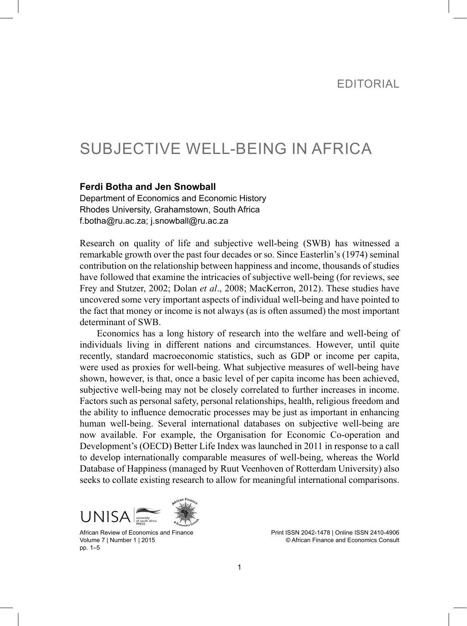# SUBJECTIVE WELL-BEING IN AFRICA

#### **Ferdi Botha and Jen Snowball**

Department of Economics and Economic History Rhodes University, Grahamstown, South Africa f.botha@ru.ac.za; j.snowball@ru.ac.za

Research on quality of life and subjective well-being (SWB) has witnessed a remarkable growth over the past four decades or so. Since Easterlin's (1974) seminal contribution on the relationship between happiness and income, thousands of studies have followed that examine the intricacies of subjective well-being (for reviews, see Frey and Stutzer, 2002; Dolan *et al*., 2008; MacKerron, 2012). These studies have uncovered some very important aspects of individual well-being and have pointed to the fact that money or income is not always (as is often assumed) the most important determinant of SWB.

Economics has a long history of research into the welfare and well-being of individuals living in different nations and circumstances. However, until quite recently, standard macroeconomic statistics, such as GDP or income per capita, were used as proxies for well-being. What subjective measures of well-being have shown, however, is that, once a basic level of per capita income has been achieved, subjective well-being may not be closely correlated to further increases in income. Factors such as personal safety, personal relationships, health, religious freedom and the ability to influence democratic processes may be just as important in enhancing human well-being. Several international databases on subjective well-being are now available. For example, the Organisation for Economic Co-operation and Development's (OECD) Better Life Index was launched in 2011 in response to a call to develop internationally comparable measures of well-being, whereas the World Database of Happiness (managed by Ruut Veenhoven of Rotterdam University) also seeks to collate existing research to allow for meaningful international comparisons.



African Review of Economics and Finance Volume 7 | Number 1 | 2015 pp. 1–5

Print ISSN 2042-1478 | Online ISSN 2410-4906 © African Finance and Economics Consult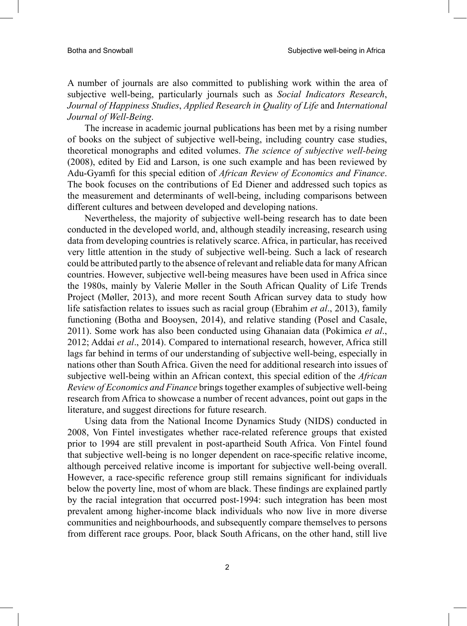A number of journals are also committed to publishing work within the area of subjective well-being, particularly journals such as *Social Indicators Research*, *Journal of Happiness Studies*, *Applied Research in Quality of Life* and *International Journal of Well-Being*.

The increase in academic journal publications has been met by a rising number of books on the subject of subjective well-being, including country case studies, theoretical monographs and edited volumes. *The science of subjective well-being* (2008), edited by Eid and Larson, is one such example and has been reviewed by Adu-Gyamfi for this special edition of *African Review of Economics and Finance*. The book focuses on the contributions of Ed Diener and addressed such topics as the measurement and determinants of well-being, including comparisons between different cultures and between developed and developing nations.

Nevertheless, the majority of subjective well-being research has to date been conducted in the developed world, and, although steadily increasing, research using data from developing countries is relatively scarce. Africa, in particular, has received very little attention in the study of subjective well-being. Such a lack of research could be attributed partly to the absence of relevant and reliable data for many African countries. However, subjective well-being measures have been used in Africa since the 1980s, mainly by Valerie Møller in the South African Quality of Life Trends Project (Møller, 2013), and more recent South African survey data to study how life satisfaction relates to issues such as racial group (Ebrahim *et al*., 2013), family functioning (Botha and Booysen, 2014), and relative standing (Posel and Casale, 2011). Some work has also been conducted using Ghanaian data (Pokimica *et al*., 2012; Addai *et al*., 2014). Compared to international research, however, Africa still lags far behind in terms of our understanding of subjective well-being, especially in nations other than South Africa. Given the need for additional research into issues of subjective well-being within an African context, this special edition of the *African Review of Economics and Finance* brings together examples of subjective well-being research from Africa to showcase a number of recent advances, point out gaps in the literature, and suggest directions for future research.

Using data from the National Income Dynamics Study (NIDS) conducted in 2008, Von Fintel investigates whether race-related reference groups that existed prior to 1994 are still prevalent in post-apartheid South Africa. Von Fintel found that subjective well-being is no longer dependent on race-specific relative income, although perceived relative income is important for subjective well-being overall. However, a race-specific reference group still remains significant for individuals below the poverty line, most of whom are black. These findings are explained partly by the racial integration that occurred post-1994: such integration has been most prevalent among higher-income black individuals who now live in more diverse communities and neighbourhoods, and subsequently compare themselves to persons from different race groups. Poor, black South Africans, on the other hand, still live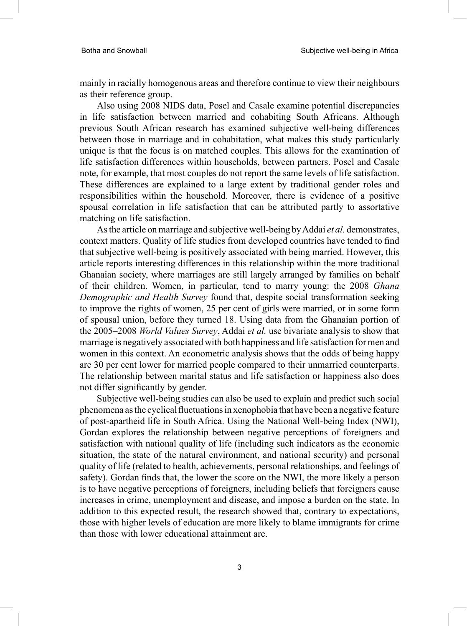mainly in racially homogenous areas and therefore continue to view their neighbours as their reference group.

Also using 2008 NIDS data, Posel and Casale examine potential discrepancies in life satisfaction between married and cohabiting South Africans. Although previous South African research has examined subjective well-being differences between those in marriage and in cohabitation, what makes this study particularly unique is that the focus is on matched couples. This allows for the examination of life satisfaction differences within households, between partners. Posel and Casale note, for example, that most couples do not report the same levels of life satisfaction. These differences are explained to a large extent by traditional gender roles and responsibilities within the household. Moreover, there is evidence of a positive spousal correlation in life satisfaction that can be attributed partly to assortative matching on life satisfaction.

As the article on marriage and subjective well-being by Addai *et al.* demonstrates, context matters. Quality of life studies from developed countries have tended to find that subjective well-being is positively associated with being married. However, this article reports interesting differences in this relationship within the more traditional Ghanaian society, where marriages are still largely arranged by families on behalf of their children. Women, in particular, tend to marry young: the 2008 *Ghana Demographic and Health Survey* found that, despite social transformation seeking to improve the rights of women, 25 per cent of girls were married, or in some form of spousal union, before they turned 18. Using data from the Ghanaian portion of the 2005–2008 *World Values Survey*, Addai *et al.* use bivariate analysis to show that marriage is negatively associated with both happiness and life satisfaction for men and women in this context. An econometric analysis shows that the odds of being happy are 30 per cent lower for married people compared to their unmarried counterparts. The relationship between marital status and life satisfaction or happiness also does not differ significantly by gender.

Subjective well-being studies can also be used to explain and predict such social phenomena as the cyclical fluctuations in xenophobia that have been a negative feature of post-apartheid life in South Africa. Using the National Well-being Index (NWI), Gordan explores the relationship between negative perceptions of foreigners and satisfaction with national quality of life (including such indicators as the economic situation, the state of the natural environment, and national security) and personal quality of life (related to health, achievements, personal relationships, and feelings of safety). Gordan finds that, the lower the score on the NWI, the more likely a person is to have negative perceptions of foreigners, including beliefs that foreigners cause increases in crime, unemployment and disease, and impose a burden on the state. In addition to this expected result, the research showed that, contrary to expectations, those with higher levels of education are more likely to blame immigrants for crime than those with lower educational attainment are.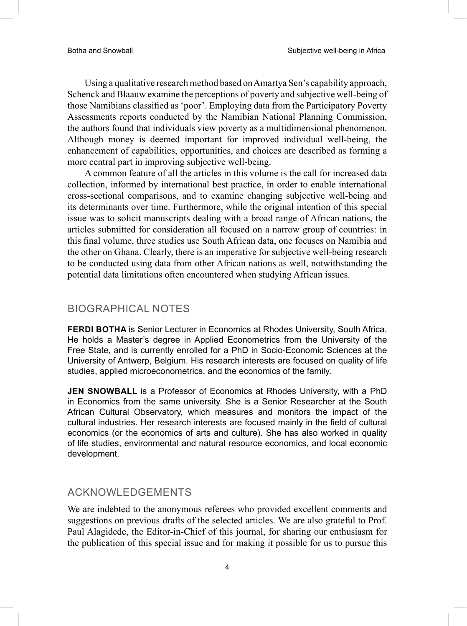Using a qualitative research method based on Amartya Sen's capability approach, Schenck and Blaauw examine the perceptions of poverty and subjective well-being of those Namibians classified as 'poor'. Employing data from the Participatory Poverty Assessments reports conducted by the Namibian National Planning Commission, the authors found that individuals view poverty as a multidimensional phenomenon. Although money is deemed important for improved individual well-being, the enhancement of capabilities, opportunities, and choices are described as forming a more central part in improving subjective well-being.

A common feature of all the articles in this volume is the call for increased data collection, informed by international best practice, in order to enable international cross-sectional comparisons, and to examine changing subjective well-being and its determinants over time. Furthermore, while the original intention of this special issue was to solicit manuscripts dealing with a broad range of African nations, the articles submitted for consideration all focused on a narrow group of countries: in this final volume, three studies use South African data, one focuses on Namibia and the other on Ghana. Clearly, there is an imperative for subjective well-being research to be conducted using data from other African nations as well, notwithstanding the potential data limitations often encountered when studying African issues.

### biographical notes

**Ferdi Botha** is Senior Lecturer in Economics at Rhodes University, South Africa. He holds a Master's degree in Applied Econometrics from the University of the Free State, and is currently enrolled for a PhD in Socio-Economic Sciences at the University of Antwerp, Belgium. His research interests are focused on quality of life studies, applied microeconometrics, and the economics of the family.

**Jen Snowball** is a Professor of Economics at Rhodes University, with a PhD in Economics from the same university. She is a Senior Researcher at the South African Cultural Observatory, which measures and monitors the impact of the cultural industries. Her research interests are focused mainly in the field of cultural economics (or the economics of arts and culture). She has also worked in quality of life studies, environmental and natural resource economics, and local economic development.

## ACKNOWLEDGEMENTS

We are indebted to the anonymous referees who provided excellent comments and suggestions on previous drafts of the selected articles. We are also grateful to Prof. Paul Alagidede, the Editor-in-Chief of this journal, for sharing our enthusiasm for the publication of this special issue and for making it possible for us to pursue this